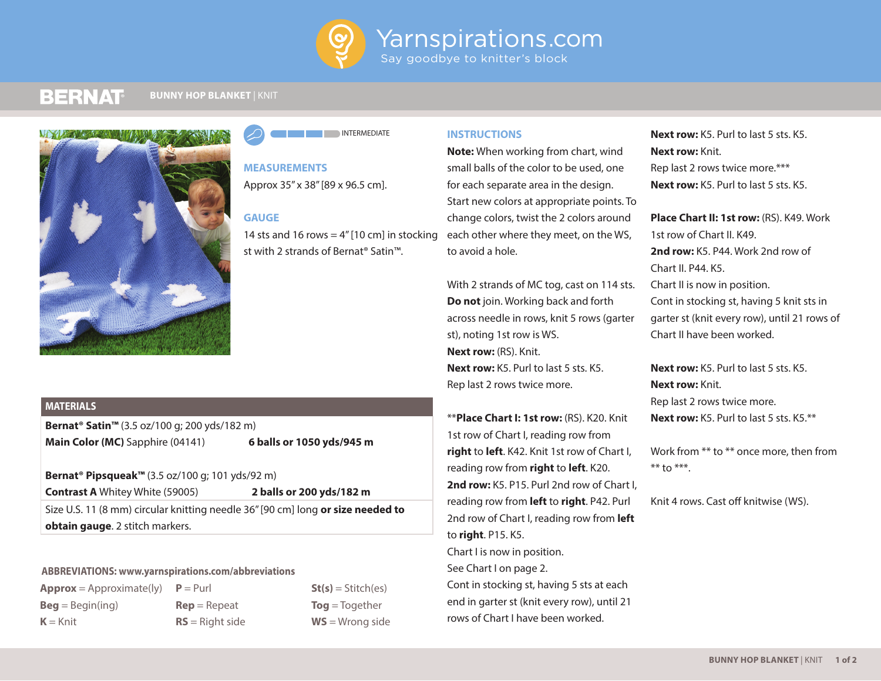

#### **BERNAT BUNNY HOP BLANKET** | KNIT





**MEASUREMENTS** Approx 35" x 38" [89 x 96.5 cm].

## **GAUGE**

14 sts and 16 rows  $= 4$ " [10 cm] in stocking st with 2 strands of Bernat® Satin™.

# **MATERIALS**

**Bernat® Satin™** (3.5 oz/100 g; 200 yds/182 m) **Main Color (MC)** Sapphire (04141) **6 balls or 1050 yds/945 m**

**Bernat® Pipsqueak™** (3.5 oz/100 g; 101 yds/92 m) **Contrast A** Whitey White (59005) **2 balls or 200 yds/182 m** Size U.S. 11 (8 mm) circular knitting needle 36" [90 cm] long **or size needed to obtain gauge**. 2 stitch markers.

## **ABBREVIATIONS: www.yarnspirations.com/abbreviations**

 $Approx = Approximate(ly)$   $P = Purl$ **Beg** = Begin(ing)  $K =$ Knit

**Rep** = Repeat **RS** = Right side  $St(s) = Stitch(es)$ **Tog** = Together **WS** = Wrong side

# **INSTRUCTIONS**

**Note:** When working from chart, wind small balls of the color to be used, one for each separate area in the design. Start new colors at appropriate points. To change colors, twist the 2 colors around each other where they meet, on the WS, to avoid a hole.

With 2 strands of MC tog, cast on 114 sts. **Do not** join. Working back and forth across needle in rows, knit 5 rows (garter st), noting 1st row is WS. **Next row:** (RS). Knit. **Next row:** K5. Purl to last 5 sts. K5. Rep last 2 rows twice more.

\*\***Place Chart I: 1st row:** (RS). K20. Knit 1st row of Chart I, reading row from **right** to **left**. K42. Knit 1st row of Chart I, reading row from **right** to **left**. K20. 2nd row: K<sub>5</sub>. P<sub>15</sub>. Purl 2nd row of Chart I. reading row from **left** to **right**. P42. Purl 2nd row of Chart I, reading row from **left** to **right**. P15. K5. Chart I is now in position. See Chart I on page 2. Cont in stocking st, having 5 sts at each end in garter st (knit every row), until 21 rows of Chart I have been worked.

**Next row:** K5. Purl to last 5 sts. K5. **Next row:** Knit. Rep last 2 rows twice more.\*\*\* **Next row:** K5. Purl to last 5 sts. K5.

**Place Chart II: 1st row: (RS). K49. Work** 1st row of Chart II. K49. **2nd row:** K5. P44. Work 2nd row of Chart II. P44. K5. Chart II is now in position. Cont in stocking st, having 5 knit sts in garter st (knit every row), until 21 rows of Chart II have been worked.

**Next row:** K5. Purl to last 5 sts. K5. **Next row:** Knit. Rep last 2 rows twice more. **Next row:** K5. Purl to last 5 sts. K5.\*\*

Work from \*\* to \*\* once more, then from  $**$  to  $***$ .

Knit 4 rows. Cast off knitwise (WS).